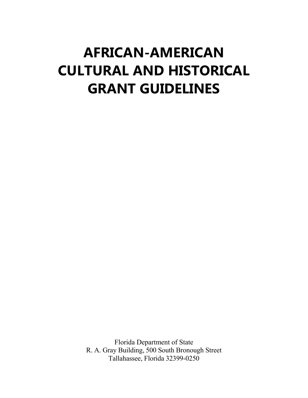# **AFRICAN-AMERICAN CULTURAL AND HISTORICAL GRANT GUIDELINES**

Florida Department of State R. A. Gray Building, 500 South Bronough Street Tallahassee, Florida 32399-0250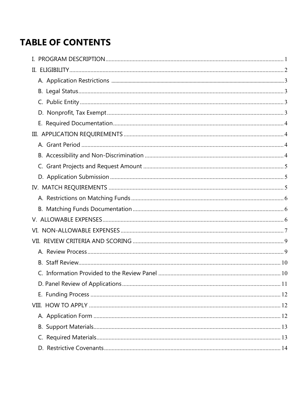# **TABLE OF CONTENTS**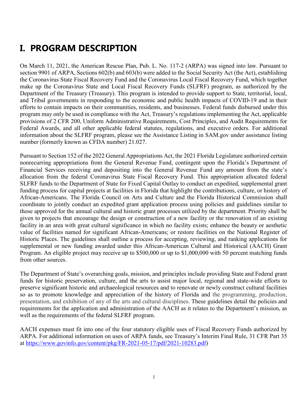# <span id="page-3-0"></span>**I. PROGRAM DESCRIPTION**

On March 11, 2021, the American Rescue Plan, Pub. L. No. 117-2 (ARPA) was signed into law. Pursuant to section 9901 of ARPA, Sections 602(b) and 603(b) were added to the Social Security Act (the Act), establishing the Coronavirus State Fiscal Recovery Fund and the Coronavirus Local Fiscal Recovery Fund, which together make up the Coronavirus State and Local Fiscal Recovery Funds (SLFRF) program, as authorized by the Department of the Treasury (Treasury). This program is intended to provide support to State, territorial, local, and Tribal governments in responding to the economic and public health impacts of COVID-19 and in their efforts to contain impacts on their communities, residents, and businesses. Federal funds disbursed under this program may only be used in compliance with the Act, Treasury's regulations implementing the Act, applicable provisions of 2 CFR 200, Uniform Administrative Requirements, Cost Principles, and Audit Requirements for Federal Awards, and all other applicable federal statutes, regulations, and executive orders. For additional information about the SLFRF program, please see the Assistance Listing in SAM.gov under assistance listing number (formerly known as CFDA number) 21.027.

Pursuant to Section 152 of the 2022 General Appropriations Act, the 2021 Florida Legislature authorized certain nonrecurring appropriations from the General Revenue Fund, contingent upon the Florida's Department of Financial Services receiving and depositing into the General Revenue Fund any amount from the state's allocation from the federal Coronavirus State Fiscal Recovery Fund. This appropriation allocated federal SLFRF funds to the Department of State for Fixed Capital Outlay to conduct an expedited, supplemental grant funding process for capital projects at facilities in Florida that highlight the contributions, culture, or history of African-Americans. The Florida Council on Arts and Culture and the Florida Historical Commission shall coordinate to jointly conduct an expedited grant application process using policies and guidelines similar to those approved for the annual cultural and historic grant processes utilized by the department. Priority shall be given to projects that encourage the design or construction of a new facility or the renovation of an existing facility in an area with great cultural significance in which no facility exists; enhance the beauty or aesthetic value of facilities named for significant African-Americans; or restore facilities on the National Register of Historic Places. The guidelines shall outline a process for accepting, reviewing, and ranking applications for supplemental or new funding awarded under this African-American Cultural and Historical (AACH) Grant Program. An eligible project may receive up to \$500,000 or up to \$1,000,000 with 50 percent matching funds from other sources.

The Department of State's overarching goals, mission, and principles include providing State and Federal grant funds for historic preservation, culture, and the arts to assist major local, regional and state-wide efforts to preserve significant historic and archaeological resources and to renovate or newly construct cultural facilities so as to promote knowledge and appreciation of the history of Florida and the programming, production, presentation, and exhibition of any of the arts and cultural disciplines. These guidelines detail the policies and requirements for the application and administration of the AACH as it relates to the Department's mission, as well as the requirements of the federal SLFRF program.

<span id="page-3-1"></span>AACH expenses must fit into one of the four statutory eligible uses of Fiscal Recovery Funds authorized by ARPA. For additional information on uses of ARPA funds, see Treasury's Interim Final Rule, 31 CFR Part 35 at [https://www.govinfo.gov/content/pkg/FR-2021-05-17/pdf/2021-10283.pdf\)](https://www.govinfo.gov/content/pkg/FR-2021-05-17/pdf/2021-10283.pdf)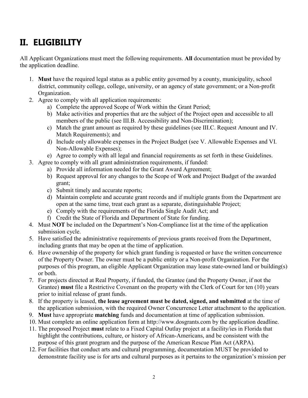# **II. ELIGIBILITY**

All Applicant Organizations must meet the following requirements. **All** documentation must be provided by the application deadline.

- 1. **Must** have the required legal status as a public entity governed by a county, municipality, school district, community college, college, university, or an agency of state government; or a Non-profit Organization.
- 2. Agree to comply with all application requirements:
	- a) Complete the approved Scope of Work within the Grant Period;
	- b) Make activities and properties that are the subject of the Project open and accessible to all members of the public (see III.B. Accessibility and Non-Discrimination);
	- c) Match the grant amount as required by these guidelines (see III.C. Request Amount and IV. Match Requirements); and
	- d) Include only allowable expenses in the Project Budget (see V. Allowable Expenses and VI. Non-Allowable Expenses);
	- e) Agree to comply with all legal and financial requirements as set forth in these Guidelines.
- 3. Agree to comply with all grant administration requirements, if funded:
	- a) Provide all information needed for the Grant Award Agreement;
	- b) Request approval for any changes to the Scope of Work and Project Budget of the awarded grant;
	- c) Submit timely and accurate reports;
	- d) Maintain complete and accurate grant records and if multiple grants from the Department are open at the same time, treat each grant as a separate, distinguishable Project;
	- e) Comply with the requirements of the Florida Single Audit Act; and
	- f) Credit the State of Florida and Department of State for funding.
- 4. Must **NOT** be included on the Department's Non-Compliance list at the time of the application submission cycle.
- 5. Have satisfied the administrative requirements of previous grants received from the Department, including grants that may be open at the time of application.
- 6. Have ownership of the property for which grant funding is requested or have the written concurrence of the Property Owner. The owner must be a public entity or a Non-profit Organization. For the purposes of this program, an eligible Applicant Organization may lease state-owned land or building(s) or both.
- 7. For projects directed at Real Property, if funded, the Grantee (and the Property Owner, if not the Grantee) **must** file a Restrictive Covenant on the property with the Clerk of Court for ten (10) years prior to initial release of grant funds.
- 8. If the property is leased, **the lease agreement must be dated, signed, and submitted** at the time of the application submission, with the required Owner Concurrence Letter attachment to the application.
- 9. **Must** have appropriate **matching** funds and documentation at time of application submission.
- 10. Must complete an online application form at http://www.dosgrants.com by the application deadline.
- 11. The proposed Project **must** relate to a Fixed Capital Outlay project at a facility/ies in Florida that highlight the contributions, culture, or history of African-Americans, and be consistent with the purpose of this grant program and the purpose of the American Rescue Plan Act (ARPA).
- 12. For facilities that conduct arts and cultural programming, documentation MUST be provided to demonstrate facility use is for arts and cultural purposes as it pertains to the organization's mission per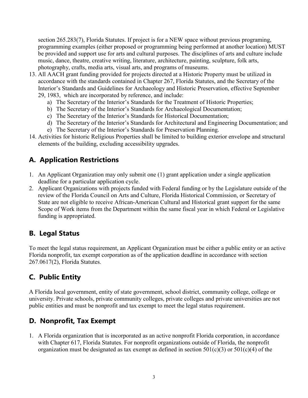section 265.283(7), Florida Statutes. If project is for a NEW space without previous programing, programming examples (either proposed or programming being performed at another location) MUST be provided and support use for arts and cultural purposes. The disciplines of arts and culture include music, dance, theatre, creative writing, literature, architecture, painting, sculpture, folk arts, photography, crafts, media arts, visual arts, and programs of museums.

- 13. All AACH grant funding provided for projects directed at a Historic Property must be utilized in accordance with the standards contained in Chapter 267, Florida Statutes, and the Secretary of the Interior's Standards and Guidelines for Archaeology and Historic Preservation, effective September 29, 1983, which are incorporated by reference, and include:
	- a) The Secretary of the Interior's Standards for the Treatment of Historic Properties;
	- b) The Secretary of the Interior's Standards for Archaeological Documentation;
	- c) The Secretary of the Interior's Standards for Historical Documentation;
	- d) The Secretary of the Interior's Standards for Architectural and Engineering Documentation; and
	- e) The Secretary of the Interior's Standards for Preservation Planning.
- 14. Activities for historic Religious Properties shall be limited to building exterior envelope and structural elements of the building, excluding accessibility upgrades.

#### <span id="page-5-0"></span>**A. Application Restrictions**

- 1. An Applicant Organization may only submit one (1) grant application under a single application deadline for a particular application cycle.
- 2. Applicant Organizations with projects funded with Federal funding or by the Legislature outside of the review of the Florida Council on Arts and Culture, Florida Historical Commission, or Secretary of State are not eligible to receive African-American Cultural and Historical grant support for the same Scope of Work items from the Department within the same fiscal year in which Federal or Legislative funding is appropriated.

#### <span id="page-5-1"></span>**B. Legal Status**

To meet the legal status requirement, an Applicant Organization must be either a public entity or an active Florida nonprofit, tax exempt corporation as of the application deadline in accordance with section 267.0617(2), Florida Statutes.

#### <span id="page-5-2"></span>**C. Public Entity**

A Florida local government, entity of state government, school district, community college, college or university. Private schools, private community colleges, private colleges and private universities are not public entities and must be nonprofit and tax exempt to meet the legal status requirement.

#### <span id="page-5-3"></span>**D. Nonprofit, Tax Exempt**

1. A Florida organization that is incorporated as an active nonprofit Florida corporation, in accordance with Chapter 617, Florida Statutes. For nonprofit organizations outside of Florida, the nonprofit organization must be designated as tax exempt as defined in section  $501(c)(3)$  or  $501(c)(4)$  of the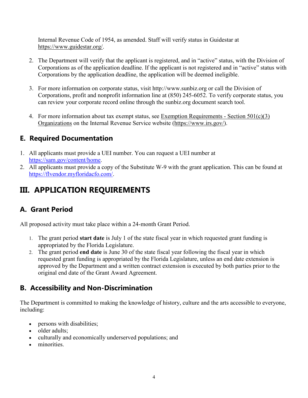Internal Revenue Code of 1954, as amended. Staff will verify status in Guidestar at [https://www.guidestar.org/.](https://www.guidestar.org/)

- 2. The Department will verify that the applicant is registered, and in "active" status, with the Division of Corporations as of the application deadline. If the applicant is not registered and in "active" status with Corporations by the application deadline, the application will be deemed ineligible.
- 3. For more information on corporate status, visit http://www.sunbiz.org or call the Division of Corporations, profit and nonprofit information line at (850) 245-6052. To verify corporate status, you can review your corporate record online through the sunbiz.org document search tool.
- 4. For more information about tax exempt status, see [Exemption Requirements -](https://www.irs.gov/charities-non-profits/charitable-organizations/exemption-requirements-501c3-organizations) Section 501(c)(3) [Organizations](https://www.irs.gov/charities-non-profits/charitable-organizations/exemption-requirements-501c3-organizations) on the Internal Revenue Service website [\(https://www.irs.gov/\)](https://www.irs.gov/).

#### <span id="page-6-0"></span>**E. Required Documentation**

- 1. All applicants must provide a UEI number. You can request a UEI number at [https://sam.gov/content/home.](https://sam.gov/content/home)
- 2. All applicants must provide a copy of the Substitute W-9 with the grant application. This can be found at [https://flvendor.myfloridacfo.com/.](https://flvendor.myfloridacfo.com/)

# <span id="page-6-1"></span>**III. APPLICATION REQUIREMENTS**

#### <span id="page-6-2"></span>**A. Grant Period**

All proposed activity must take place within a 24-month Grant Period.

- 1. The grant period **start date** is July 1 of the state fiscal year in which requested grant funding is appropriated by the Florida Legislature.
- 2. The grant period **end date** is June 30 of the state fiscal year following the fiscal year in which requested grant funding is appropriated by the Florida Legislature, unless an end date extension is approved by the Department and a written contract extension is executed by both parties prior to the original end date of the Grant Award Agreement.

#### <span id="page-6-3"></span>**B. Accessibility and Non-Discrimination**

The Department is committed to making the knowledge of history, culture and the arts accessible to everyone, including:

- persons with disabilities;
- older adults;
- culturally and economically underserved populations; and
- minorities.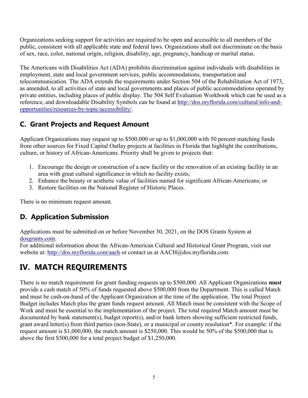Organizations seeking support for activities are required to be open and accessible to all members of the public, consistent with all applicable state and federal laws. Organizations shall not discriminate on the basis of sex, race, color, national origin, religion, disability, age, pregnancy, handicap or marital status.

The Americans with Disabilities Act (ADA) prohibits discrimination against individuals with disabilities in employment, state and local government services, public accommodations, transportation and telecommunication. The ADA extends the requirements under Section 504 of the Rehabilitation Act of 1973, as amended, to all activities of state and local governments and places of public accommodations operated by private entities, including places of public display. The 504 Self Evaluation Workbook which can be used as a reference, and downloadable Disability Symbols can be found at [http://dos.myflorida.com/cultural/info-and](http://dos.myflorida.com/cultural/info-and-opportunities/resources-by-topic/accessibility/)[opportunities/resources-by-topic/accessibility/.](http://dos.myflorida.com/cultural/info-and-opportunities/resources-by-topic/accessibility/)

### <span id="page-7-0"></span>**C. Grant Projects and Request Amount**

Applicant Organizations may request up to \$500,000 or up to \$1,000,000 with 50 percent matching funds from other sources for Fixed Capital Outlay projects at facilities in Florida that highlight the contributions, culture, or history of African-Americans. Priority shall be given to projects that:

- 1. Encourage the design or construction of a new facility or the renovation of an existing facility in an area with great cultural significance in which no facility exists;
- 2. Enhance the beauty or aesthetic value of facilities named for significant African-Americans; or
- 3. Restore facilities on the National Register of Historic Places.

There is no minimum request amount.

### **D. Application Submission**

Applications must be submitted on or before November 30, 2021, on the DOS Grants System at [dosgrants.com.](https://dosgrants.com/)

For additional information about the African-American Cultural and Historical Grant Program, visit our website at:<http://dos.myflorida.com/aach> or contact us at AACH@dos.myflorida.com.

# <span id="page-7-1"></span>**IV. MATCH REQUIREMENTS**

There is no match requirement for grant funding requests up to \$500,000. All Applicant Organizations **must** provide a cash match of 50% of funds requested above \$500,000 from the Department. This is called Match and must be cash-on-hand of the Applicant Organization at the time of the application. The total Project Budget includes Match plus the grant funds request amount. All Match must be consistent with the Scope of Work and must be essential to the implementation of the project. The total required Match amount must be documented by bank statement(s), budget report(s), and/or bank letters showing sufficient restricted funds, grant award letter(s) from third parties (non-State), or a municipal or county resolution\*. For example: if the request amount is \$1,000,000, the match amount is \$250,000. This would be 50% of the \$500,000 that is above the first \$500,000 for a total project budget of \$1,250,000.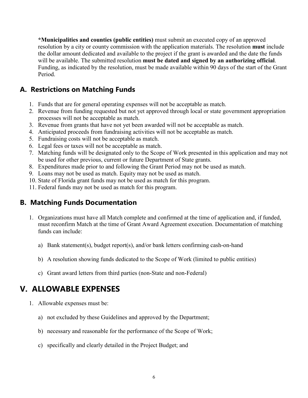**\*Municipalities and counties (public entities)** must submit an executed copy of an approved resolution by a city or county commission with the application materials. The resolution **must** include the dollar amount dedicated and available to the project if the grant is awarded and the date the funds will be available. The submitted resolution **must be dated and signed by an authorizing official**. Funding, as indicated by the resolution, must be made available within 90 days of the start of the Grant Period.

#### **A. Restrictions on Matching Funds**

- 1. Funds that are for general operating expenses will not be acceptable as match.
- 2. Revenue from funding requested but not yet approved through local or state government appropriation processes will not be acceptable as match.
- 3. Revenue from grants that have not yet been awarded will not be acceptable as match.
- 4. Anticipated proceeds from fundraising activities will not be acceptable as match.
- 5. Fundraising costs will not be acceptable as match.
- 6. Legal fees or taxes will not be acceptable as match.
- 7. Matching funds will be designated only to the Scope of Work presented in this application and may not be used for other previous, current or future Department of State grants.
- 8. Expenditures made prior to and following the Grant Period may not be used as match.
- 9. Loans may not be used as match. Equity may not be used as match.
- 10. State of Florida grant funds may not be used as match for this program.
- 11. Federal funds may not be used as match for this program.

#### **B. Matching Funds Documentation**

- 1. Organizations must have all Match complete and confirmed at the time of application and, if funded, must reconfirm Match at the time of Grant Award Agreement execution. Documentation of matching funds can include:
	- a) Bank statement(s), budget report(s), and/or bank letters confirming cash-on-hand
	- b) A resolution showing funds dedicated to the Scope of Work (limited to public entities)
	- c) Grant award letters from third parties (non-State and non-Federal)

### <span id="page-8-0"></span>**V. ALLOWABLE EXPENSES**

- 1. Allowable expenses must be:
	- a) not excluded by these Guidelines and approved by the Department;
	- b) necessary and reasonable for the performance of the Scope of Work;
	- c) specifically and clearly detailed in the Project Budget; and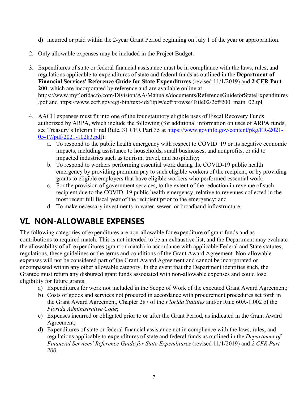- d) incurred or paid within the 2-year Grant Period beginning on July 1 of the year or appropriation.
- 2. Only allowable expenses may be included in the Project Budget.
- 3. Expenditures of state or federal financial assistance must be in compliance with the laws, rules, and regulations applicable to expenditures of state and federal funds as outlined in the **Department of Financial Services' Reference Guide for State Expenditures** (revised 11/1/2019) and **2 CFR Part 200**, which are incorporated by reference and are available online at [https://www.myfloridacfo.com/Division/AA/Manuals/documents/ReferenceGuideforStateExpenditures](https://www.myfloridacfo.com/Division/AA/Manuals/documents/ReferenceGuideforStateExpenditures.pdf) [.pdf](https://www.myfloridacfo.com/Division/AA/Manuals/documents/ReferenceGuideforStateExpenditures.pdf) and https://www.ecfr.gov/cgi-bin/text-idx?tpl=/ecfrbrowse/Title02/2cfr200\_main\_02.tpl.
- 4. AACH expenses must fit into one of the four statutory eligible uses of Fiscal Recovery Funds authorized by ARPA, which include the following (for additional information on uses of ARPA funds, see Treasury's Interim Final Rule, 31 CFR Part 35 at [https://www.govinfo.gov/content/pkg/FR-2021-](https://www.govinfo.gov/content/pkg/FR-2021-05-17/pdf/2021-10283.pdf) [05-17/pdf/2021-10283.pdf\)](https://www.govinfo.gov/content/pkg/FR-2021-05-17/pdf/2021-10283.pdf):
	- a. To respond to the public health emergency with respect to COVID–19 or its negative economic impacts, including assistance to households, small businesses, and nonprofits, or aid to impacted industries such as tourism, travel, and hospitality;
	- b. To respond to workers performing essential work during the COVID-19 public health emergency by providing premium pay to such eligible workers of the recipient, or by providing grants to eligible employers that have eligible workers who performed essential work;
	- c. For the provision of government services, to the extent of the reduction in revenue of such recipient due to the COVID–19 public health emergency, relative to revenues collected in the most recent full fiscal year of the recipient prior to the emergency; and
	- d. To make necessary investments in water, sewer, or broadband infrastructure.

# <span id="page-9-0"></span>**VI. NON-ALLOWABLE EXPENSES**

The following categories of expenditures are non-allowable for expenditure of grant funds and as contributions to required match. This is not intended to be an exhaustive list, and the Department may evaluate the allowability of all expenditures (grant or match) in accordance with applicable Federal and State statutes, regulations, these guidelines or the terms and conditions of the Grant Award Agreement. Non-allowable expenses will not be considered part of the Grant Award Agreement and cannot be incorporated or encompassed within any other allowable category. In the event that the Department identifies such, the Grantee must return any disbursed grant funds associated with non-allowable expenses and could lose eligibility for future grants.

- a) Expenditures for work not included in the Scope of Work of the executed Grant Award Agreement;
- b) Costs of goods and services not procured in accordance with procurement procedures set forth in the Grant Award Agreement, Chapter 287 of the *Florida Statutes* and/or Rule 60A-1.002 of the *Florida Administrative Code*;
- c) Expenses incurred or obligated prior to or after the Grant Period, as indicated in the Grant Award Agreement;
- d) Expenditures of state or federal financial assistance not in compliance with the laws, rules, and regulations applicable to expenditures of state and federal funds as outlined in the *Department of Financial Services' Reference Guide for State Expenditures* (revised 11/1/2019) and *2 CFR Part 200*.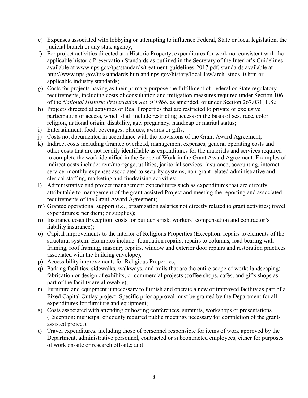- e) Expenses associated with lobbying or attempting to influence Federal, State or local legislation, the judicial branch or any state agency;
- f) For project activities directed at a Historic Property, expenditures for work not consistent with the applicable historic Preservation Standards as outlined in the Secretary of the Interior's Guidelines available at www.nps.gov/tps/standards/treatment-guidelines-2017.pdf, standards available at http://www.nps.gov/tps/standards.htm and nps.gov/history/local-law/arch\_stnds\_0.htm or applicable industry standards;
- g) Costs for projects having as their primary purpose the fulfillment of Federal or State regulatory requirements, including costs of consultation and mitigation measures required under Section 106 of the *National Historic Preservation Act of 1966*, as amended, or under Section 267.031, F.S.;
- h) Projects directed at activities or Real Properties that are restricted to private or exclusive participation or access, which shall include restricting access on the basis of sex, race, color, religion, national origin, disability, age, pregnancy, handicap or marital status;
- i) Entertainment, food, beverages, plaques, awards or gifts;
- j) Costs not documented in accordance with the provisions of the Grant Award Agreement;
- k) Indirect costs including Grantee overhead, management expenses, general operating costs and other costs that are not readily identifiable as expenditures for the materials and services required to complete the work identified in the Scope of Work in the Grant Award Agreement. Examples of indirect costs include: rent/mortgage, utilities, janitorial services, insurance, accounting, internet service, monthly expenses associated to security systems, non-grant related administrative and clerical staffing, marketing and fundraising activities;
- l) Administrative and project management expenditures such as expenditures that are directly attributable to management of the grant-assisted Project and meeting the reporting and associated requirements of the Grant Award Agreement;
- m) Grantee operational support (i.e., organization salaries not directly related to grant activities; travel expenditures; per diem; or supplies);
- n) Insurance costs (Exception: costs for builder's risk, workers' compensation and contractor's liability insurance);
- o) Capital improvements to the interior of Religious Properties (Exception: repairs to elements of the structural system. Examples include: foundation repairs, repairs to columns, load bearing wall framing, roof framing, masonry repairs, window and exterior door repairs and restoration practices associated with the building envelope);
- p) Accessibility improvements for Religious Properties;
- q) Parking facilities, sidewalks, walkways, and trails that are the entire scope of work; landscaping; fabrication or design of exhibits; or commercial projects (coffee shops, cafés, and gifts shops as part of the facility are allowable);
- r) Furniture and equipment unnecessary to furnish and operate a new or improved facility as part of a Fixed Capital Outlay project. Specific prior approval must be granted by the Department for all expenditures for furniture and equipment;
- s) Costs associated with attending or hosting conferences, summits, workshops or presentations (Exception: municipal or county required public meetings necessary for completion of the grantassisted project);
- t) Travel expenditures, including those of personnel responsible for items of work approved by the Department, administrative personnel, contracted or subcontracted employees, either for purposes of work on-site or research off-site; and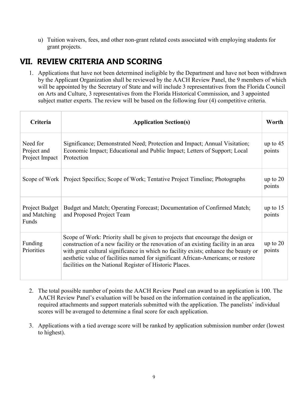u) Tuition waivers, fees, and other non-grant related costs associated with employing students for grant projects.

## <span id="page-11-0"></span>**VII. REVIEW CRITERIA AND SCORING**

1. Applications that have not been determined ineligible by the Department and have not been withdrawn by the Applicant Organization shall be reviewed by the AACH Review Panel, the 9 members of which will be appointed by the Secretary of State and will include 3 representatives from the Florida Council on Arts and Culture, 3 representatives from the Florida Historical Commission, and 3 appointed subject matter experts. The review will be based on the following four (4) competitive criteria.

| <b>Criteria</b>                           | <b>Application Section(s)</b>                                                                                                                                                                                                                                                                                                                                                                                 | Worth                |
|-------------------------------------------|---------------------------------------------------------------------------------------------------------------------------------------------------------------------------------------------------------------------------------------------------------------------------------------------------------------------------------------------------------------------------------------------------------------|----------------------|
| Need for<br>Project and<br>Project Impact | Significance; Demonstrated Need; Protection and Impact; Annual Visitation;<br>Economic Impact; Educational and Public Impact; Letters of Support; Local<br>Protection                                                                                                                                                                                                                                         | up to $45$<br>points |
|                                           | Scope of Work   Project Specifics; Scope of Work; Tentative Project Timeline; Photographs                                                                                                                                                                                                                                                                                                                     | up to $20$<br>points |
| Project Budget<br>and Matching<br>Funds   | Budget and Match; Operating Forecast; Documentation of Confirmed Match;<br>and Proposed Project Team                                                                                                                                                                                                                                                                                                          | up to $15$<br>points |
| Funding<br>Priorities                     | Scope of Work: Priority shall be given to projects that encourage the design or<br>construction of a new facility or the renovation of an existing facility in an area<br>with great cultural significance in which no facility exists; enhance the beauty or<br>aesthetic value of facilities named for significant African-Americans; or restore<br>facilities on the National Register of Historic Places. | up to $20$<br>points |

- 2. The total possible number of points the AACH Review Panel can award to an application is 100. The AACH Review Panel's evaluation will be based on the information contained in the application, required attachments and support materials submitted with the application. The panelists' individual scores will be averaged to determine a final score for each application.
- 3. Applications with a tied average score will be ranked by application submission number order (lowest to highest).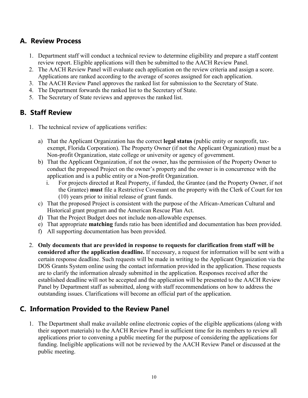#### <span id="page-12-0"></span>**A. Review Process**

- 1. Department staff will conduct a technical review to determine eligibility and prepare a staff content review report. Eligible applications will then be submitted to the AACH Review Panel.
- 2. The AACH Review Panel will evaluate each application on the review criteria and assign a score. Applications are ranked according to the average of scores assigned for each application.
- 3. The AACH Review Panel approves the ranked list for submission to the Secretary of State.
- 4. The Department forwards the ranked list to the Secretary of State.
- 5. The Secretary of State reviews and approves the ranked list.

#### <span id="page-12-1"></span>**B. Staff Review**

- 1. The technical review of applications verifies:
	- a) That the Applicant Organization has the correct **legal status** (public entity or nonprofit, taxexempt, Florida Corporation). The Property Owner (if not the Applicant Organization) must be a Non-profit Organization, state college or university or agency of government.
	- b) That the Applicant Organization, if not the owner, has the permission of the Property Owner to conduct the proposed Project on the owner's property and the owner is in concurrence with the application and is a public entity or a Non-profit Organization.
		- i. For projects directed at Real Property, if funded, the Grantee (and the Property Owner, if not the Grantee) **must** file a Restrictive Covenant on the property with the Clerk of Court for ten (10) years prior to initial release of grant funds.
	- c) That the proposed Project is consistent with the purpose of the African-American Cultural and Historical grant program and the American Rescue Plan Act.
	- d) That the Project Budget does not include non-allowable expenses.
	- e) That appropriate **matching** funds ratio has been identified and documentation has been provided.
	- f) All supporting documentation has been provided.
- 2. **Only documents that are provided in response to requests for clarification from staff will be considered after the application deadline.** If necessary, a request for information will be sent with a certain response deadline. Such requests will be made in writing to the Applicant Organization via the DOS Grants System online using the contact information provided in the application. These requests are to clarify the information already submitted in the application. Responses received after the established deadline will not be accepted and the application will be presented to the AACH Review Panel by Department staff as submitted, along with staff recommendations on how to address the outstanding issues. Clarifications will become an official part of the application.

#### <span id="page-12-2"></span>**C. Information Provided to the Review Panel**

1. The Department shall make available online electronic copies of the eligible applications (along with their support materials) to the AACH Review Panel in sufficient time for its members to review all applications prior to convening a public meeting for the purpose of considering the applications for funding. Ineligible applications will not be reviewed by the AACH Review Panel or discussed at the public meeting.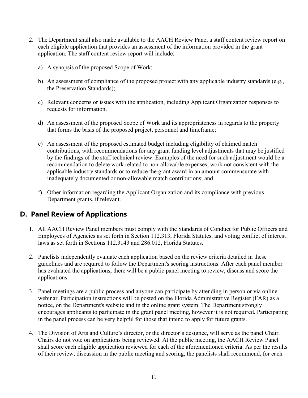- 2. The Department shall also make available to the AACH Review Panel a staff content review report on each eligible application that provides an assessment of the information provided in the grant application. The staff content review report will include:
	- a) A synopsis of the proposed Scope of Work;
	- b) An assessment of compliance of the proposed project with any applicable industry standards (e.g., the Preservation Standards);
	- c) Relevant concerns or issues with the application, including Applicant Organization responses to requests for information.
	- d) An assessment of the proposed Scope of Work and its appropriateness in regards to the property that forms the basis of the proposed project, personnel and timeframe;
	- e) An assessment of the proposed estimated budget including eligibility of claimed match contributions, with recommendations for any grant funding level adjustments that may be justified by the findings of the staff technical review. Examples of the need for such adjustment would be a recommendation to delete work related to non-allowable expenses, work not consistent with the applicable industry standards or to reduce the grant award in an amount commensurate with inadequately documented or non-allowable match contributions; and
	- f) Other information regarding the Applicant Organization and its compliance with previous Department grants, if relevant.

#### <span id="page-13-0"></span>**D. Panel Review of Applications**

- 1. All AACH Review Panel members must comply with the Standards of Conduct for Public Officers and Employees of Agencies as set forth in Section 112.313, Florida Statutes, and voting conflict of interest laws as set forth in Sections 112.3143 and 286.012, Florida Statutes.
- 2. Panelists independently evaluate each application based on the review criteria detailed in these guidelines and are required to follow the Department's scoring instructions. After each panel member has evaluated the applications, there will be a public panel meeting to review, discuss and score the applications.
- 3. Panel meetings are a public process and anyone can participate by attending in person or via online webinar. Participation instructions will be posted on the Florida Administrative Register (FAR) as a notice, on the Department's website and in the online grant system. The Department strongly encourages applicants to participate in the grant panel meeting, however it is not required. Participating in the panel process can be very helpful for those that intend to apply for future grants.
- 4. The Division of Arts and Culture's director, or the director's designee, will serve as the panel Chair. Chairs do not vote on applications being reviewed. At the public meeting, the AACH Review Panel shall score each eligible application reviewed for each of the aforementioned criteria. As per the results of their review, discussion in the public meeting and scoring, the panelists shall recommend, for each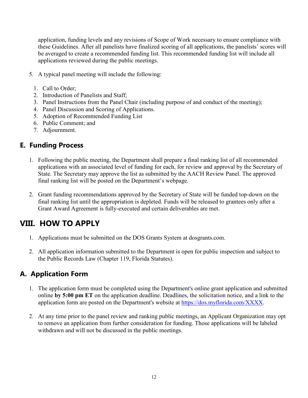application, funding levels and any revisions of Scope of Work necessary to ensure compliance with these Guidelines. After all panelists have finalized scoring of all applications, the panelists' scores will be averaged to create a recommended funding list. This recommended funding list will include all applications reviewed during the public meetings.

- 5. A typical panel meeting will include the following:
	- 1. Call to Order;
	- 2. Introduction of Panelists and Staff;
	- 3. Panel Instructions from the Panel Chair (including purpose of and conduct of the meeting);
	- 4. Panel Discussion and Scoring of Applications.
	- 5. Adoption of Recommended Funding List
	- 6. Public Comment; and
	- 7. Adjournment.

#### <span id="page-14-0"></span>**E. Funding Process**

- 1. Following the public meeting, the Department shall prepare a final ranking list of all recommended applications with an associated level of funding for each, for review and approval by the Secretary of State. The Secretary may approve the list as submitted by the AACH Review Panel. The approved final ranking list will be posted on the Department's webpage.
- 2. Grant funding recommendations approved by the Secretary of State will be funded top-down on the final ranking list until the appropriation is depleted. Funds will be released to grantees only after a Grant Award Agreement is fully-executed and certain deliverables are met.

### <span id="page-14-1"></span>**VIII. HOW TO APPLY**

- 1. Applications must be submitted on the DOS Grants System at dosgrants.com.
- 2. All application information submitted to the Department is open for public inspection and subject to the Public Records Law (Chapter 119, Florida Statutes).

#### <span id="page-14-2"></span>**A. Application Form**

- 1. The application form must be completed using the Department's online grant application and submitted online **by 5:00 pm ET** on the application deadline. Deadlines, the solicitation notice, and a link to the application form are posted on the Department's website at [https://dos.myflorida.com/XXXX.](https://dos.myflorida.com/XXXX)
- 2. At any time prior to the panel review and ranking public meetings, an Applicant Organization may opt to remove an application from further consideration for funding. Those applications will be labeled withdrawn and will not be discussed in the public meetings.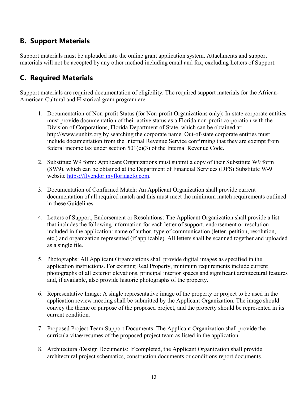#### <span id="page-15-0"></span>**B. Support Materials**

Support materials must be uploaded into the online grant application system. Attachments and support materials will not be accepted by any other method including email and fax, excluding Letters of Support.

#### <span id="page-15-1"></span>**C. Required Materials**

Support materials are required documentation of eligibility. The required support materials for the African-American Cultural and Historical gram program are:

- 1. Documentation of Non-profit Status (for Non-profit Organizations only): In-state corporate entities must provide documentation of their active status as a Florida non-profit corporation with the Division of Corporations, Florida Department of State, which can be obtained at: http://www.sunbiz.org by searching the corporate name. Out-of-state corporate entities must include documentation from the Internal Revenue Service confirming that they are exempt from federal income tax under section  $501(c)(3)$  of the Internal Revenue Code.
- 2. Substitute W9 form: Applicant Organizations must submit a copy of their Substitute W9 form (SW9), which can be obtained at the Department of Financial Services (DFS) Substitute W-9 website [https://flvendor.myfloridacfo.com.](https://flvendor.myfloridacfo.com/)
- 3. Documentation of Confirmed Match: An Applicant Organization shall provide current documentation of all required match and this must meet the minimum match requirements outlined in these Guidelines.
- 4. Letters of Support, Endorsement or Resolutions: The Applicant Organization shall provide a list that includes the following information for each letter of support, endorsement or resolution included in the application: name of author, type of communication (letter, petition, resolution, etc.) and organization represented (if applicable). All letters shall be scanned together and uploaded as a single file.
- 5. Photographs: All Applicant Organizations shall provide digital images as specified in the application instructions. For existing Real Property, minimum requirements include current photographs of all exterior elevations, principal interior spaces and significant architectural features and, if available, also provide historic photographs of the property.
- 6. Representative Image: A single representative image of the property or project to be used in the application review meeting shall be submitted by the Applicant Organization. The image should convey the theme or purpose of the proposed project, and the property should be represented in its current condition.
- 7. Proposed Project Team Support Documents: The Applicant Organization shall provide the curricula vitae/resumes of the proposed project team as listed in the application.
- 8. Architectural/Design Documents: If completed, the Applicant Organization shall provide architectural project schematics, construction documents or conditions report documents.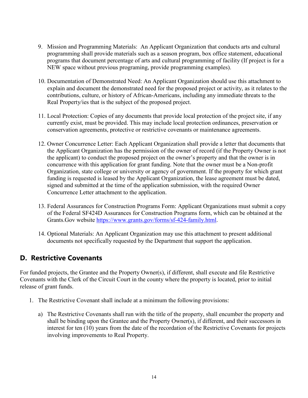- 9. Mission and Programming Materials: An Applicant Organization that conducts arts and cultural programming shall provide materials such as a season program, box office statement, educational programs that document percentage of arts and cultural programming of facility (If project is for a NEW space without previous programing, provide programming examples).
- 10. Documentation of Demonstrated Need: An Applicant Organization should use this attachment to explain and document the demonstrated need for the proposed project or activity, as it relates to the contributions, culture, or history of African-Americans, including any immediate threats to the Real Property/ies that is the subject of the proposed project.
- 11. Local Protection: Copies of any documents that provide local protection of the project site, if any currently exist, must be provided. This may include local protection ordinances, preservation or conservation agreements, protective or restrictive covenants or maintenance agreements.
- 12. Owner Concurrence Letter: Each Applicant Organization shall provide a letter that documents that the Applicant Organization has the permission of the owner of record (if the Property Owner is not the applicant) to conduct the proposed project on the owner's property and that the owner is in concurrence with this application for grant funding. Note that the owner must be a Non-profit Organization, state college or university or agency of government. If the property for which grant funding is requested is leased by the Applicant Organization, the lease agreement must be dated, signed and submitted at the time of the application submission, with the required Owner Concurrence Letter attachment to the application.
- 13. Federal Assurances for Construction Programs Form: Applicant Organizations must submit a copy of the Federal SF424D Assurances for Construction Programs form, which can be obtained at the Grants.Gov website [https://www.grants.gov/forms/sf-424-family.html.](https://www.grants.gov/forms/sf-424-family.html)
- 14. Optional Materials: An Applicant Organization may use this attachment to present additional documents not specifically requested by the Department that support the application.

#### <span id="page-16-0"></span>**D. Restrictive Covenants**

For funded projects, the Grantee and the Property Owner(s), if different, shall execute and file Restrictive Covenants with the Clerk of the Circuit Court in the county where the property is located, prior to initial release of grant funds.

- 1. The Restrictive Covenant shall include at a minimum the following provisions:
	- a) The Restrictive Covenants shall run with the title of the property, shall encumber the property and shall be binding upon the Grantee and the Property Owner(s), if different, and their successors in interest for ten (10) years from the date of the recordation of the Restrictive Covenants for projects involving improvements to Real Property.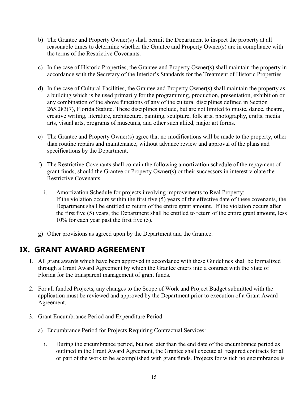- b) The Grantee and Property Owner(s) shall permit the Department to inspect the property at all reasonable times to determine whether the Grantee and Property Owner(s) are in compliance with the terms of the Restrictive Covenants.
- c) In the case of Historic Properties, the Grantee and Property Owner(s) shall maintain the property in accordance with the Secretary of the Interior's Standards for the Treatment of Historic Properties.
- d) In the case of Cultural Facilities, the Grantee and Property Owner(s) shall maintain the property as a building which is be used primarily for the programming, production, presentation, exhibition or any combination of the above functions of any of the cultural disciplines defined in Section 265.283(7), Florida Statute. These disciplines include, but are not limited to music, dance, theatre, creative writing, literature, architecture, painting, sculpture, folk arts, photography, crafts, media arts, visual arts, programs of museums, and other such allied, major art forms.
- e) The Grantee and Property Owner(s) agree that no modifications will be made to the property, other than routine repairs and maintenance, without advance review and approval of the plans and specifications by the Department.
- f) The Restrictive Covenants shall contain the following amortization schedule of the repayment of grant funds, should the Grantee or Property Owner(s) or their successors in interest violate the Restrictive Covenants.
	- i. Amortization Schedule for projects involving improvements to Real Property: If the violation occurs within the first five (5) years of the effective date of these covenants, the Department shall be entitled to return of the entire grant amount. If the violation occurs after the first five (5) years, the Department shall be entitled to return of the entire grant amount, less 10% for each year past the first five (5).
- g) Other provisions as agreed upon by the Department and the Grantee.

### <span id="page-17-0"></span>**IX. GRANT AWARD AGREEMENT**

- 1. All grant awards which have been approved in accordance with these Guidelines shall be formalized through a Grant Award Agreement by which the Grantee enters into a contract with the State of Florida for the transparent management of grant funds.
- 2. For all funded Projects, any changes to the Scope of Work and Project Budget submitted with the application must be reviewed and approved by the Department prior to execution of a Grant Award Agreement.
- 3. Grant Encumbrance Period and Expenditure Period:
	- a) Encumbrance Period for Projects Requiring Contractual Services:
		- i. During the encumbrance period, but not later than the end date of the encumbrance period as outlined in the Grant Award Agreement, the Grantee shall execute all required contracts for all or part of the work to be accomplished with grant funds. Projects for which no encumbrance is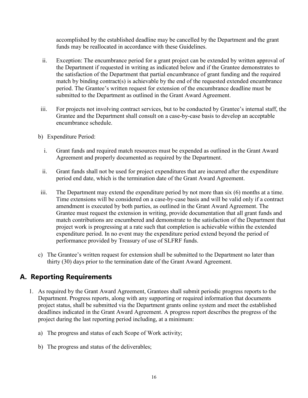accomplished by the established deadline may be cancelled by the Department and the grant funds may be reallocated in accordance with these Guidelines.

- ii. Exception: The encumbrance period for a grant project can be extended by written approval of the Department if requested in writing as indicated below and if the Grantee demonstrates to the satisfaction of the Department that partial encumbrance of grant funding and the required match by binding contract(s) is achievable by the end of the requested extended encumbrance period. The Grantee's written request for extension of the encumbrance deadline must be submitted to the Department as outlined in the Grant Award Agreement.
- iii. For projects not involving contract services, but to be conducted by Grantee's internal staff, the Grantee and the Department shall consult on a case-by-case basis to develop an acceptable encumbrance schedule.
- b) Expenditure Period:
	- i. Grant funds and required match resources must be expended as outlined in the Grant Award Agreement and properly documented as required by the Department.
	- ii. Grant funds shall not be used for project expenditures that are incurred after the expenditure period end date, which is the termination date of the Grant Award Agreement.
- iii. The Department may extend the expenditure period by not more than six (6) months at a time. Time extensions will be considered on a case-by-case basis and will be valid only if a contract amendment is executed by both parties, as outlined in the Grant Award Agreement. The Grantee must request the extension in writing, provide documentation that all grant funds and match contributions are encumbered and demonstrate to the satisfaction of the Department that project work is progressing at a rate such that completion is achievable within the extended expenditure period. In no event may the expenditure period extend beyond the period of performance provided by Treasury of use of SLFRF funds.
- c) The Grantee's written request for extension shall be submitted to the Department no later than thirty (30) days prior to the termination date of the Grant Award Agreement.

#### <span id="page-18-0"></span>**A. Reporting Requirements**

- 1. As required by the Grant Award Agreement, Grantees shall submit periodic progress reports to the Department. Progress reports, along with any supporting or required information that documents project status, shall be submitted via the Department grants online system and meet the established deadlines indicated in the Grant Award Agreement. A progress report describes the progress of the project during the last reporting period including, at a minimum:
	- a) The progress and status of each Scope of Work activity;
	- b) The progress and status of the deliverables;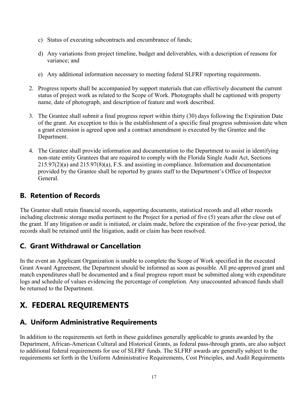- c) Status of executing subcontracts and encumbrance of funds;
- d) Any variations from project timeline, budget and deliverables, with a description of reasons for variance; and
- e) Any additional information necessary to meeting federal SLFRF reporting requirements.
- 2. Progress reports shall be accompanied by support materials that can effectively document the current status of project work as related to the Scope of Work. Photographs shall be captioned with property name, date of photograph, and description of feature and work described.
- 3. The Grantee shall submit a final progress report within thirty (30) days following the Expiration Date of the grant. An exception to this is the establishment of a specific final progress submission date when a grant extension is agreed upon and a contract amendment is executed by the Grantee and the Department.
- 4. The Grantee shall provide information and documentation to the Department to assist in identifying non-state entity Grantees that are required to comply with the Florida Single Audit Act, Sections 215.97(2)(a) and 215.97(8)(a), F.S. and assisting in compliance. Information and documentation provided by the Grantee shall be reported by grants staff to the Department's Office of Inspector General.

#### <span id="page-19-0"></span>**B. Retention of Records**

The Grantee shall retain financial records, supporting documents, statistical records and all other records including electronic storage media pertinent to the Project for a period of five (5) years after the close out of the grant. If any litigation or audit is initiated, or claim made, before the expiration of the five-year period, the records shall be retained until the litigation, audit or claim has been resolved.

#### <span id="page-19-1"></span>**C. Grant Withdrawal or Cancellation**

In the event an Applicant Organization is unable to complete the Scope of Work specified in the executed Grant Award Agreement, the Department should be informed as soon as possible. All pre-approved grant and match expenditures shall be documented and a final progress report must be submitted along with expenditure logs and schedule of values evidencing the percentage of completion. Any unaccounted advanced funds shall be returned to the Department.

# **X. FEDERAL REQUIREMENTS**

#### **A. Uniform Administrative Requirements**

In addition to the requirements set forth in these guidelines generally applicable to grants awarded by the Department, African-American Cultural and Historical Grants, as federal pass-through grants, are also subject to additional federal requirements for use of SLFRF funds. The SLFRF awards are generally subject to the requirements set forth in the Uniform Administrative Requirements, Cost Principles, and Audit Requirements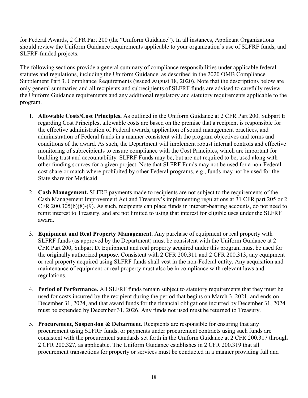for Federal Awards, 2 CFR Part 200 (the "Uniform Guidance"). In all instances, Applicant Organizations should review the Uniform Guidance requirements applicable to your organization's use of SLFRF funds, and SLFRF-funded projects.

The following sections provide a general summary of compliance responsibilities under applicable federal statutes and regulations, including the Uniform Guidance, as described in the 2020 OMB Compliance Supplement Part 3. Compliance Requirements (issued August 18, 2020). Note that the descriptions below are only general summaries and all recipients and subrecipients of SLFRF funds are advised to carefully review the Uniform Guidance requirements and any additional regulatory and statutory requirements applicable to the program.

- 1. **Allowable Costs/Cost Principles.** As outlined in the Uniform Guidance at 2 CFR Part 200, Subpart E regarding Cost Principles, allowable costs are based on the premise that a recipient is responsible for the effective administration of Federal awards, application of sound management practices, and administration of Federal funds in a manner consistent with the program objectives and terms and conditions of the award. As such, the Department will implement robust internal controls and effective monitoring of subrecipients to ensure compliance with the Cost Principles, which are important for building trust and accountability. SLFRF Funds may be, but are not required to be, used along with other funding sources for a given project. Note that SLFRF Funds may not be used for a non-Federal cost share or match where prohibited by other Federal programs, e.g., funds may not be used for the State share for Medicaid.
- 2. **Cash Management.** SLFRF payments made to recipients are not subject to the requirements of the Cash Management Improvement Act and Treasury's implementing regulations at 31 CFR part 205 or 2 CFR 200.305(b)(8)-(9). As such, recipients can place funds in interest-bearing accounts, do not need to remit interest to Treasury, and are not limited to using that interest for eligible uses under the SLFRF award.
- 3. **Equipment and Real Property Management.** Any purchase of equipment or real property with SLFRF funds (as approved by the Department) must be consistent with the Uniform Guidance at 2 CFR Part 200, Subpart D. Equipment and real property acquired under this program must be used for the originally authorized purpose. Consistent with 2 CFR 200.311 and 2 CFR 200.313, any equipment or real property acquired using SLFRF funds shall vest in the non-Federal entity. Any acquisition and maintenance of equipment or real property must also be in compliance with relevant laws and regulations.
- 4. **Period of Performance.** All SLFRF funds remain subject to statutory requirements that they must be used for costs incurred by the recipient during the period that begins on March 3, 2021, and ends on December 31, 2024, and that award funds for the financial obligations incurred by December 31, 2024 must be expended by December 31, 2026. Any funds not used must be returned to Treasury.
- 5. **Procurement, Suspension & Debarment.** Recipients are responsible for ensuring that any procurement using SLFRF funds, or payments under procurement contracts using such funds are consistent with the procurement standards set forth in the Uniform Guidance at 2 CFR 200.317 through 2 CFR 200.327, as applicable. The Uniform Guidance establishes in 2 CFR 200.319 that all procurement transactions for property or services must be conducted in a manner providing full and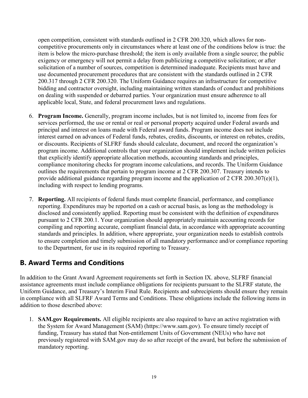open competition, consistent with standards outlined in 2 CFR 200.320, which allows for noncompetitive procurements only in circumstances where at least one of the conditions below is true: the item is below the micro-purchase threshold; the item is only available from a single source; the public exigency or emergency will not permit a delay from publicizing a competitive solicitation; or after solicitation of a number of sources, competition is determined inadequate. Recipients must have and use documented procurement procedures that are consistent with the standards outlined in 2 CFR 200.317 through 2 CFR 200.320. The Uniform Guidance requires an infrastructure for competitive bidding and contractor oversight, including maintaining written standards of conduct and prohibitions on dealing with suspended or debarred parties. Your organization must ensure adherence to all applicable local, State, and federal procurement laws and regulations.

- 6. **Program Income.** Generally, program income includes, but is not limited to, income from fees for services performed, the use or rental or real or personal property acquired under Federal awards and principal and interest on loans made with Federal award funds. Program income does not include interest earned on advances of Federal funds, rebates, credits, discounts, or interest on rebates, credits, or discounts. Recipients of SLFRF funds should calculate, document, and record the organization's program income. Additional controls that your organization should implement include written policies that explicitly identify appropriate allocation methods, accounting standards and principles, compliance monitoring checks for program income calculations, and records. The Uniform Guidance outlines the requirements that pertain to program income at 2 CFR 200.307. Treasury intends to provide additional guidance regarding program income and the application of 2 CFR 200.307(e)(1), including with respect to lending programs.
- 7. **Reporting.** All recipients of federal funds must complete financial, performance, and compliance reporting. Expenditures may be reported on a cash or accrual basis, as long as the methodology is disclosed and consistently applied. Reporting must be consistent with the definition of expenditures pursuant to 2 CFR 200.1. Your organization should appropriately maintain accounting records for compiling and reporting accurate, compliant financial data, in accordance with appropriate accounting standards and principles. In addition, where appropriate, your organization needs to establish controls to ensure completion and timely submission of all mandatory performance and/or compliance reporting to the Department, for use in its required reporting to Treasury.

#### **B. Award Terms and Conditions**

In addition to the Grant Award Agreement requirements set forth in Section IX. above, SLFRF financial assistance agreements must include compliance obligations for recipients pursuant to the SLFRF statute, the Uniform Guidance, and Treasury's Interim Final Rule. Recipients and subrecipients should ensure they remain in compliance with all SLFRF Award Terms and Conditions. These obligations include the following items in addition to those described above:

1. **SAM.gov Requirements.** All eligible recipients are also required to have an active registration with the System for Award Management (SAM) (https://www.sam.gov). To ensure timely receipt of funding, Treasury has stated that Non-entitlement Units of Government (NEUs) who have not previously registered with SAM.gov may do so after receipt of the award, but before the submission of mandatory reporting.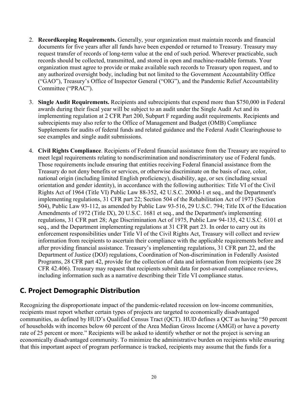- 2. **Recordkeeping Requirements.** Generally, your organization must maintain records and financial documents for five years after all funds have been expended or returned to Treasury. Treasury may request transfer of records of long-term value at the end of such period. Wherever practicable, such records should be collected, transmitted, and stored in open and machine-readable formats. Your organization must agree to provide or make available such records to Treasury upon request, and to any authorized oversight body, including but not limited to the Government Accountability Office ("GAO"), Treasury's Office of Inspector General ("OIG"), and the Pandemic Relief Accountability Committee ("PRAC").
- 3. **Single Audit Requirements.** Recipients and subrecipients that expend more than \$750,000 in Federal awards during their fiscal year will be subject to an audit under the Single Audit Act and its implementing regulation at 2 CFR Part 200, Subpart F regarding audit requirements. Recipients and subrecipients may also refer to the Office of Management and Budget (OMB) Compliance Supplements for audits of federal funds and related guidance and the Federal Audit Clearinghouse to see examples and single audit submissions.
- 4. **Civil Rights Compliance**. Recipients of Federal financial assistance from the Treasury are required to meet legal requirements relating to nondiscrimination and nondiscriminatory use of Federal funds. Those requirements include ensuring that entities receiving Federal financial assistance from the Treasury do not deny benefits or services, or otherwise discriminate on the basis of race, color, national origin (including limited English proficiency), disability, age, or sex (including sexual orientation and gender identity), in accordance with the following authorities: Title VI of the Civil Rights Act of 1964 (Title VI) Public Law 88-352, 42 U.S.C. 2000d-1 et seq., and the Department's implementing regulations, 31 CFR part 22; Section 504 of the Rehabilitation Act of 1973 (Section 504), Public Law 93-112, as amended by Public Law 93-516, 29 U.S.C. 794; Title IX of the Education Amendments of 1972 (Title IX), 20 U.S.C. 1681 et seq., and the Department's implementing regulations, 31 CFR part 28; Age Discrimination Act of 1975, Public Law 94-135, 42 U.S.C. 6101 et seq., and the Department implementing regulations at 31 CFR part 23. In order to carry out its enforcement responsibilities under Title VI of the Civil Rights Act, Treasury will collect and review information from recipients to ascertain their compliance with the applicable requirements before and after providing financial assistance. Treasury's implementing regulations, 31 CFR part 22, and the Department of Justice (DOJ) regulations, Coordination of Non-discrimination in Federally Assisted Programs, 28 CFR part 42, provide for the collection of data and information from recipients (see 28 CFR 42.406). Treasury may request that recipients submit data for post-award compliance reviews, including information such as a narrative describing their Title VI compliance status.

#### **C. Project Demographic Distribution**

Recognizing the disproportionate impact of the pandemic-related recession on low-income communities, recipients must report whether certain types of projects are targeted to economically disadvantaged communities, as defined by HUD's Qualified Census Tract (QCT). HUD defines a QCT as having "50 percent of households with incomes below 60 percent of the Area Median Gross Income (AMGI) or have a poverty rate of 25 percent or more." Recipients will be asked to identify whether or not the project is serving an economically disadvantaged community. To minimize the administrative burden on recipients while ensuring that this important aspect of program performance is tracked, recipients may assume that the funds for a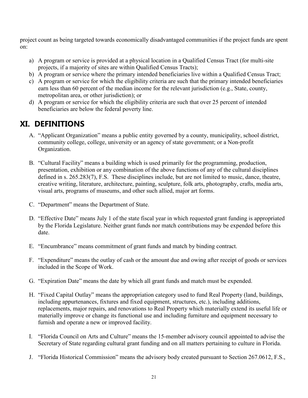project count as being targeted towards economically disadvantaged communities if the project funds are spent on:

- a) A program or service is provided at a physical location in a Qualified Census Tract (for multi-site projects, if a majority of sites are within Qualified Census Tracts);
- b) A program or service where the primary intended beneficiaries live within a Qualified Census Tract;
- c) A program or service for which the eligibility criteria are such that the primary intended beneficiaries earn less than 60 percent of the median income for the relevant jurisdiction (e.g., State, county, metropolitan area, or other jurisdiction); or
- d) A program or service for which the eligibility criteria are such that over 25 percent of intended beneficiaries are below the federal poverty line.

# **XI. DEFINITIONS**

- A. "Applicant Organization" means a public entity governed by a county, municipality, school district, community college, college, university or an agency of state government; or a Non-profit Organization.
- B. "Cultural Facility" means a building which is used primarily for the programming, production, presentation, exhibition or any combination of the above functions of any of the cultural disciplines defined in s. 265.283(7), F.S. These disciplines include, but are not limited to music, dance, theatre, creative writing, literature, architecture, painting, sculpture, folk arts, photography, crafts, media arts, visual arts, programs of museums, and other such allied, major art forms.
- C. "Department" means the Department of State.
- D. "Effective Date" means July 1 of the state fiscal year in which requested grant funding is appropriated by the Florida Legislature. Neither grant funds nor match contributions may be expended before this date.
- E. "Encumbrance" means commitment of grant funds and match by binding contract.
- F. "Expenditure" means the outlay of cash or the amount due and owing after receipt of goods or services included in the Scope of Work.
- G. "Expiration Date" means the date by which all grant funds and match must be expended.
- H. "Fixed Capital Outlay" means the appropriation category used to fund Real Property (land, buildings, including appurtenances, fixtures and fixed equipment, structures, etc.), including additions, replacements, major repairs, and renovations to Real Property which materially extend its useful life or materially improve or change its functional use and including furniture and equipment necessary to furnish and operate a new or improved facility.
- I. "Florida Council on Arts and Culture" means the 15-member advisory council appointed to advise the Secretary of State regarding cultural grant funding and on all matters pertaining to culture in Florida.
- J. "Florida Historical Commission" means the advisory body created pursuant to Section 267.0612, F.S.,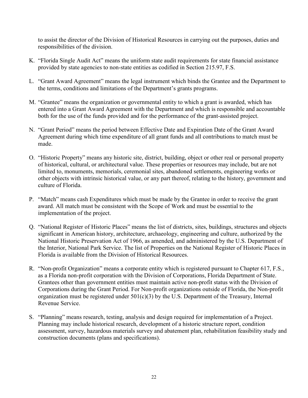to assist the director of the Division of Historical Resources in carrying out the purposes, duties and responsibilities of the division.

- K. "Florida Single Audit Act" means the uniform state audit requirements for state financial assistance provided by state agencies to non-state entities as codified in Section 215.97, F.S.
- L. "Grant Award Agreement" means the legal instrument which binds the Grantee and the Department to the terms, conditions and limitations of the Department's grants programs.
- M. "Grantee" means the organization or governmental entity to which a grant is awarded, which has entered into a Grant Award Agreement with the Department and which is responsible and accountable both for the use of the funds provided and for the performance of the grant-assisted project.
- N. "Grant Period" means the period between Effective Date and Expiration Date of the Grant Award Agreement during which time expenditure of all grant funds and all contributions to match must be made.
- O. "Historic Property" means any historic site, district, building, object or other real or personal property of historical, cultural, or architectural value. These properties or resources may include, but are not limited to, monuments, memorials, ceremonial sites, abandoned settlements, engineering works or other objects with intrinsic historical value, or any part thereof, relating to the history, government and culture of Florida.
- P. "Match" means cash Expenditures which must be made by the Grantee in order to receive the grant award. All match must be consistent with the Scope of Work and must be essential to the implementation of the project.
- Q. "National Register of Historic Places" means the list of districts, sites, buildings, structures and objects significant in American history, architecture, archaeology, engineering and culture, authorized by the National Historic Preservation Act of 1966, as amended, and administered by the U.S. Department of the Interior, National Park Service. The list of Properties on the National Register of Historic Places in Florida is available from the Division of Historical Resources.
- R. "Non-profit Organization" means a corporate entity which is registered pursuant to Chapter 617, F.S., as a Florida non-profit corporation with the Division of Corporations, Florida Department of State. Grantees other than government entities must maintain active non-profit status with the Division of Corporations during the Grant Period. For Non-profit organizations outside of Florida, the Non-profit organization must be registered under  $501(c)(3)$  by the U.S. Department of the Treasury, Internal Revenue Service.
- S. "Planning" means research, testing, analysis and design required for implementation of a Project. Planning may include historical research, development of a historic structure report, condition assessment, survey, hazardous materials survey and abatement plan, rehabilitation feasibility study and construction documents (plans and specifications).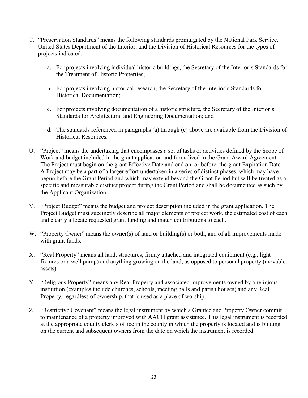- T. "Preservation Standards" means the following standards promulgated by the National Park Service, United States Department of the Interior, and the Division of Historical Resources for the types of projects indicated:
	- a. For projects involving individual historic buildings, the Secretary of the Interior's Standards for the Treatment of Historic Properties;
	- b. For projects involving historical research, the Secretary of the Interior's Standards for Historical Documentation;
	- c. For projects involving documentation of a historic structure, the Secretary of the Interior's Standards for Architectural and Engineering Documentation; and
	- d. The standards referenced in paragraphs (a) through (c) above are available from the Division of Historical Resources.
- U. "Project" means the undertaking that encompasses a set of tasks or activities defined by the Scope of Work and budget included in the grant application and formalized in the Grant Award Agreement. The Project must begin on the grant Effective Date and end on, or before, the grant Expiration Date. A Project may be a part of a larger effort undertaken in a series of distinct phases, which may have begun before the Grant Period and which may extend beyond the Grant Period but will be treated as a specific and measurable distinct project during the Grant Period and shall be documented as such by the Applicant Organization.
- V. "Project Budget" means the budget and project description included in the grant application. The Project Budget must succinctly describe all major elements of project work, the estimated cost of each and clearly allocate requested grant funding and match contributions to each.
- W. "Property Owner" means the owner(s) of land or building(s) or both, and of all improvements made with grant funds.
- X. "Real Property" means all land, structures, firmly attached and integrated equipment (e.g., light fixtures or a well pump) and anything growing on the land, as opposed to personal property (movable assets).
- Y. "Religious Property" means any Real Property and associated improvements owned by a religious institution (examples include churches, schools, meeting halls and parish houses) and any Real Property, regardless of ownership, that is used as a place of worship.
- Z. "Restrictive Covenant" means the legal instrument by which a Grantee and Property Owner commit to maintenance of a property improved with AACH grant assistance. This legal instrument is recorded at the appropriate county clerk's office in the county in which the property is located and is binding on the current and subsequent owners from the date on which the instrument is recorded.